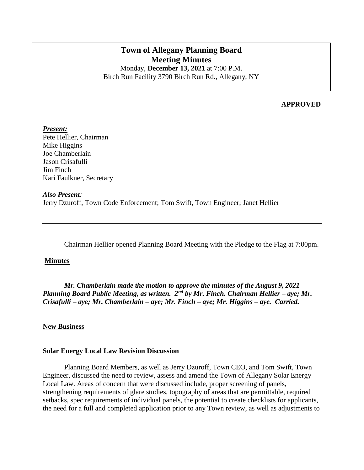# **Town of Allegany Planning Board Meeting Minutes**

Monday, **December 13, 2021** at 7:00 P.M. Birch Run Facility 3790 Birch Run Rd., Allegany, NY

#### **APPROVED**

*Present:* Pete Hellier, Chairman Mike Higgins Joe Chamberlain Jason Crisafulli Jim Finch Kari Faulkner, Secretary

*Also Present:* Jerry Dzuroff, Town Code Enforcement; Tom Swift, Town Engineer; Janet Hellier

Chairman Hellier opened Planning Board Meeting with the Pledge to the Flag at 7:00pm.

#### **Minutes**

*Mr. Chamberlain made the motion to approve the minutes of the August 9, 2021 Planning Board Public Meeting, as written. 2nd by Mr. Finch. Chairman Hellier – aye; Mr. Crisafulli – aye; Mr. Chamberlain – aye; Mr. Finch – aye; Mr. Higgins – aye. Carried.*

#### **New Business**

#### **Solar Energy Local Law Revision Discussion**

Planning Board Members, as well as Jerry Dzuroff, Town CEO, and Tom Swift, Town Engineer, discussed the need to review, assess and amend the Town of Allegany Solar Energy Local Law. Areas of concern that were discussed include, proper screening of panels, strengthening requirements of glare studies, topography of areas that are permittable, required setbacks, spec requirements of individual panels, the potential to create checklists for applicants, the need for a full and completed application prior to any Town review, as well as adjustments to